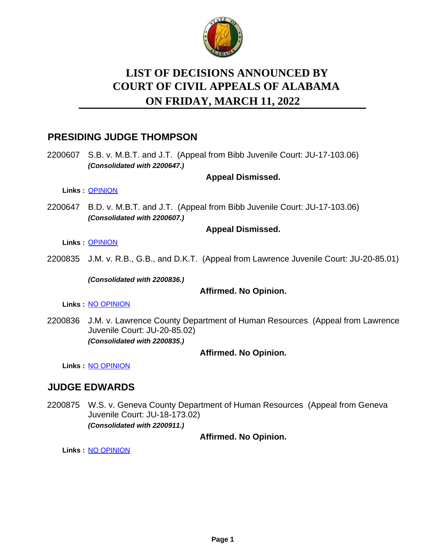

# **LIST OF DECISIONS ANNOUNCED BY ON FRIDAY, MARCH 11, 2022 COURT OF CIVIL APPEALS OF ALABAMA**

# **PRESIDING JUDGE THOMPSON**

2200607 S.B. v. M.B.T. and J.T. (Appeal from Bibb Juvenile Court: JU-17-103.06) *(Consolidated with 2200647.)*

#### **Appeal Dismissed.**

**Links :** [OPINION](https://acis.alabama.gov/displaydocs.cfm?no=1125340&event=6A80KTRYG)

2200647 B.D. v. M.B.T. and J.T. (Appeal from Bibb Juvenile Court: JU-17-103.06) *(Consolidated with 2200607.)*

#### **Appeal Dismissed.**

**Links :** [OPINION](https://acis.alabama.gov/displaydocs.cfm?no=1125340&event=6A80KTRYG)

2200835 J.M. v. R.B., G.B., and D.K.T. (Appeal from Lawrence Juvenile Court: JU-20-85.01)

*(Consolidated with 2200836.)*

#### **Affirmed. No Opinion.**

**Links :** [NO OPINION](https://acis.alabama.gov/displaydocs.cfm?no=1125342&event=6A80KUDB7)

2200836 J.M. v. Lawrence County Department of Human Resources (Appeal from Lawrence Juvenile Court: JU-20-85.02) *(Consolidated with 2200835.)*

## **Affirmed. No Opinion.**

**Links :** [NO OPINION](https://acis.alabama.gov/displaydocs.cfm?no=1125342&event=6A80KUDB7)

# **JUDGE EDWARDS**

2200875 W.S. v. Geneva County Department of Human Resources (Appeal from Geneva Juvenile Court: JU-18-173.02) *(Consolidated with 2200911.)*

**Affirmed. No Opinion.**

**Links :** [NO OPINION](https://acis.alabama.gov/displaydocs.cfm?no=1125343&event=6A80KUDPK)